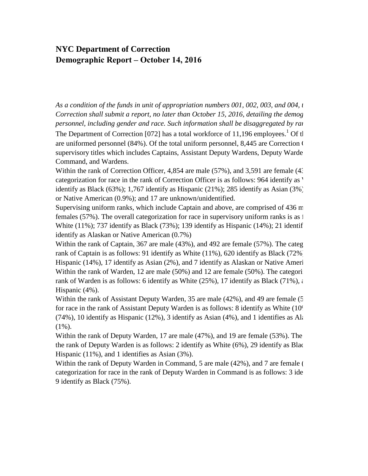## **NYC Department of Correction Demographic Report – October 14, 2016**

*As a condition of the funds in unit of appropriation numbers 001, 002, 003, and 004, the Department of approximally department of a condition of the funds in unit of appropriation numbers 001, 003, and 004, the Secular me Correction shall submit a report, no later than October 15, 2016, detailing the demog personnel, including gender and race. Such information shall be disaggregated by ran* 

The Department of Correction [072] has a total workforce of 11,196 employees.<sup>1</sup> Of the are uniformed personnel (84%). Of the total uniform personnel, 8,445 are Correction  $\mathfrak{t}$ supervisory titles which includes Captains, Assistant Deputy Wardens, Deputy Wardens Command, and Wardens.

Within the rank of Correction Officer,  $4,854$  are male (57%), and 3,591 are female (43%). categorization for race in the rank of Correction Officer is as follows: 964 identify as ' identify as Black (63%); 1,767 identify as Hispanic (21%); 285 identify as Asian (3%); or Native American (0.9%); and 17 are unknown/unidentified.

Supervising uniform ranks, which include Captain and above, are comprised of  $436 \text{ m}$ females (57%). The overall categorization for race in supervisory uniform ranks is as  $\pm$ White  $(11\%)$ ; 737 identify as Black (73%); 139 identify as Hispanic (14%); 21 identif identify as Alaskan or Native American (0.7%)

Within the rank of Captain, 367 are male  $(43%)$ , and  $492$  are female  $(57%)$ . The categ rank of Captain is as follows: 91 identify as White (11%), 620 identify as Black (72%) Hispanic (14%), 17 identify as Asian (2%), and 7 identify as Alaskan or Native Ameri Within the rank of Warden, 12 are male  $(50\%)$  and 12 are female  $(50\%)$ . The categori rank of Warden is as follows: 6 identify as White  $(25\%)$ , 17 identify as Black (71%), and 1 Hispanic (4%).

Within the rank of Assistant Deputy Warden,  $35$  are male  $(42\%)$ , and  $49$  are female  $(5$ for race in the rank of Assistant Deputy Warden is as follows: 8 identify as White  $(10<sup>c</sup>)$ (74%), 10 identify as Hispanic (12%), 3 identify as Asian (4%), and 1 identifies as Alaskan or  $(12\%)$ ,  $(12\%)$ ,  $(12\%)$ ,  $(12\%)$ ,  $(12\%)$ ,  $(12\%)$ ,  $(12\%)$ ,  $(12\%)$ ,  $(12\%)$ ,  $(12\%)$ ,  $(12\%)$ ,  $(12\%)$ ,  $(12\%)$ ,  $(12\%)$ , (1%).

Within the rank of Deputy Warden, 17 are male  $(47%)$ , and 19 are female  $(53%)$ . The the rank of Deputy Warden is as follows: 2 identify as White  $(6\%)$ , 29 identify as Black Hispanic (11%), and 1 identifies as Asian (3%).

Within the rank of Deputy Warden in Command, 5 are male  $(42\%)$ , and 7 are female ( $\frac{5}{10}$ categorization for race in the rank of Deputy Warden in Command is as follows: 3 ide 9 identify as Black (75%).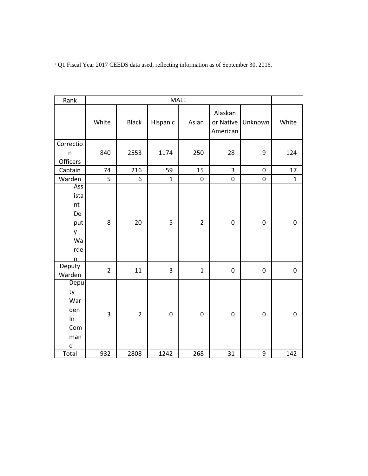| Rank                                                             | <b>MALE</b>    |                |              |                  |                                  |             |             |
|------------------------------------------------------------------|----------------|----------------|--------------|------------------|----------------------------------|-------------|-------------|
|                                                                  | White          | <b>Black</b>   | Hispanic     | Asian            | Alaskan<br>or Native<br>American | Unknown     | White       |
| Correctio<br>$\mathsf{n}$<br>Officers                            | 840            | 2553           | 1174         | 250              | 28                               | 9           | 124         |
| Captain                                                          | 74             | 216            | 59           | 15               | 3                                | $\mathbf 0$ | 17          |
| Warden                                                           | 5              | 6              | $\mathbf{1}$ | $\boldsymbol{0}$ | $\boldsymbol{0}$                 | $\mathbf 0$ | $\mathbf 1$ |
| Ass<br>ista<br>nt<br>De<br>put<br>y<br>Wa<br>rde<br>$\mathsf{n}$ | 8              | 20             | 5            | $\overline{2}$   | $\boldsymbol{0}$                 | $\mathbf 0$ | $\pmb{0}$   |
| Deputy<br>Warden                                                 | $\overline{2}$ | 11             | 3            | $\mathbf{1}$     | $\boldsymbol{0}$                 | $\mathbf 0$ | $\pmb{0}$   |
| Depu<br>ty<br>War<br>den<br>In<br>Com<br>man<br>${\sf d}$        | 3              | $\overline{2}$ | $\mathbf 0$  | $\mathbf 0$      | $\boldsymbol{0}$                 | $\mathbf 0$ | $\mathbf 0$ |
| Total                                                            | 932            | 2808           | 1242         | 268              | 31                               | 9           | 142         |

<sup>1</sup> Q1 Fiscal Year 2017 CEEDS data used, reflecting information as of September 30, 2016.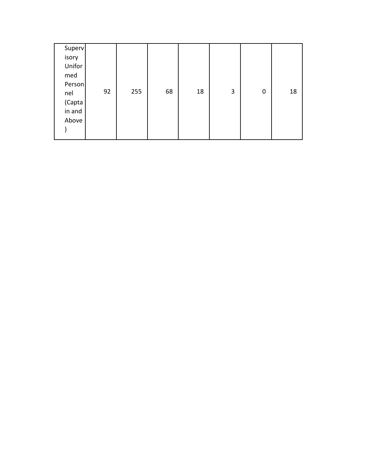| Superv |    |     |    |    |   |             |    |
|--------|----|-----|----|----|---|-------------|----|
| isory  |    |     |    |    |   |             |    |
| Unifor |    |     |    |    |   |             |    |
| med    |    |     |    |    |   |             |    |
| Person |    |     |    |    |   |             |    |
| nel    | 92 | 255 | 68 | 18 | 3 | $\mathbf 0$ | 18 |
| (Capta |    |     |    |    |   |             |    |
| in and |    |     |    |    |   |             |    |
| Above  |    |     |    |    |   |             |    |
|        |    |     |    |    |   |             |    |
|        |    |     |    |    |   |             |    |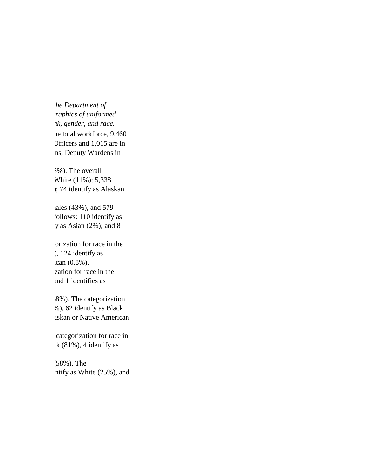*the Department of Correction shall submit a report, no later than October 15, 2016, detailing the demographics of uniformed pk, gender, and race.* he total workforce, 9,460 Officers and 1,015 are in ns, Deputy Wardens in

3%). The overall White  $(11\%)$ ; 5,338 ); 74 identify as Alaskan

 $uales (43%)$ , and 579 follows: 110 identify as  $y$  as Asian (2%); and 8

orization for race in the ), 124 identify as ican  $(0.8\%)$ . zation for race in the and 1 identifies as

68%). The categorization %), 62 identify as Black askan or Native American

categorization for race in  $x(k (81\%), 4$  identify as

 $(58%)$ . The ntify as White (25%), and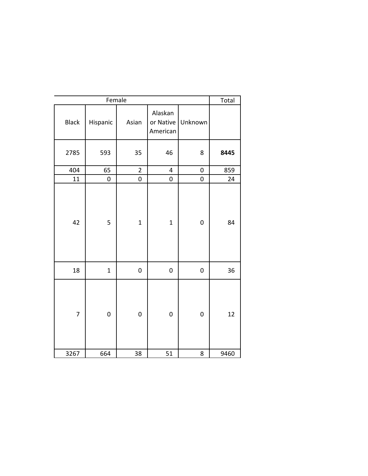|                | Total            |                  |                                  |                  |      |
|----------------|------------------|------------------|----------------------------------|------------------|------|
| <b>Black</b>   | Hispanic         | Asian            | Alaskan<br>or Native<br>American | Unknown          |      |
| 2785           | 593              | 35               | 46                               | 8                | 8445 |
| 404            | 65               | $\overline{2}$   | 4                                | $\boldsymbol{0}$ | 859  |
| 11             | $\boldsymbol{0}$ | 0                | $\boldsymbol{0}$                 | $\mathbf 0$      | 24   |
| 42             | 5                | $\mathbf{1}$     | $\mathbf 1$                      | $\boldsymbol{0}$ | 84   |
| 18             | $\mathbf{1}$     | $\boldsymbol{0}$ | $\boldsymbol{0}$                 | $\boldsymbol{0}$ | 36   |
| $\overline{7}$ | $\boldsymbol{0}$ | $\mathbf 0$      | $\boldsymbol{0}$                 | $\mathbf 0$      | 12   |
| 3267           | 664              | 38               | 51                               | 8                | 9460 |